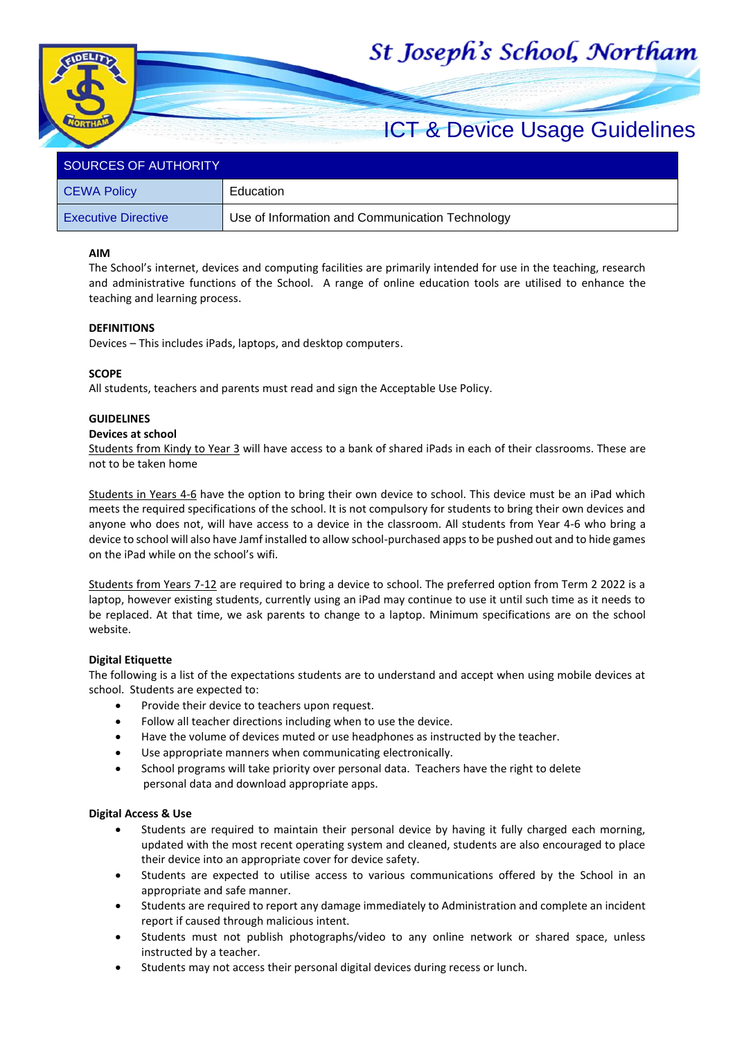# St Joseph's School, Northam



# SOURCES OF AUTHORITY

| CEWA Policy            | Education                                       |  |
|------------------------|-------------------------------------------------|--|
| ∣ Executive Directive∶ | Use of Information and Communication Technology |  |

# **AIM**

The School's internet, devices and computing facilities are primarily intended for use in the teaching, research and administrative functions of the School. A range of online education tools are utilised to enhance the teaching and learning process.

#### **DEFINITIONS**

Devices – This includes iPads, laptops, and desktop computers.

# **SCOPE**

All students, teachers and parents must read and sign the Acceptable Use Policy.

#### **GUIDELINES**

#### **Devices at school**

Students from Kindy to Year 3 will have access to a bank of shared iPads in each of their classrooms. These are not to be taken home

Students in Years 4-6 have the option to bring their own device to school. This device must be an iPad which meets the required specifications of the school. It is not compulsory for students to bring their own devices and anyone who does not, will have access to a device in the classroom. All students from Year 4-6 who bring a device to school will also have Jamf installed to allow school-purchased apps to be pushed out and to hide games on the iPad while on the school's wifi.

Students from Years 7-12 are required to bring a device to school. The preferred option from Term 2 2022 is a laptop, however existing students, currently using an iPad may continue to use it until such time as it needs to be replaced. At that time, we ask parents to change to a laptop. Minimum specifications are on the school website.

# **Digital Etiquette**

The following is a list of the expectations students are to understand and accept when using mobile devices at school. Students are expected to:

- Provide their device to teachers upon request.
- Follow all teacher directions including when to use the device.
- Have the volume of devices muted or use headphones as instructed by the teacher.
- Use appropriate manners when communicating electronically.
- School programs will take priority over personal data. Teachers have the right to delete personal data and download appropriate apps.

#### **Digital Access & Use**

- Students are required to maintain their personal device by having it fully charged each morning, updated with the most recent operating system and cleaned, students are also encouraged to place their device into an appropriate cover for device safety.
- Students are expected to utilise access to various communications offered by the School in an appropriate and safe manner.
- Students are required to report any damage immediately to Administration and complete an incident report if caused through malicious intent.
- Students must not publish photographs/video to any online network or shared space, unless instructed by a teacher.
- Students may not access their personal digital devices during recess or lunch.